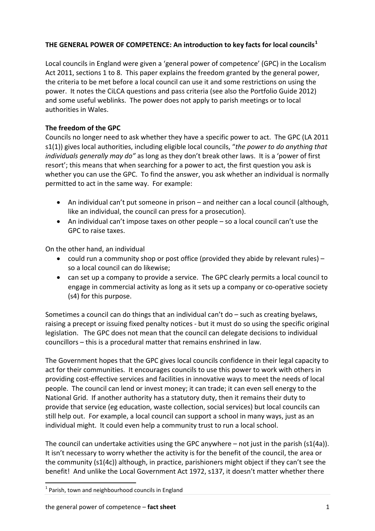# **THE GENERAL POWER OF COMPETENCE: An introduction to key facts for local councils[1](#page-0-0)**

Local councils in England were given a 'general power of competence' (GPC) in the Localism Act 2011, sections 1 to 8. This paper explains the freedom granted by the general power, the criteria to be met before a local council can use it and some restrictions on using the power. It notes the CiLCA questions and pass criteria (see also the Portfolio Guide 2012) and some useful weblinks. The power does not apply to parish meetings or to local authorities in Wales.

# **The freedom of the GPC**

Councils no longer need to ask whether they have a specific power to act. The GPC (LA 2011 s1(1)) gives local authorities, including eligible local councils, "*the power to do anything that individuals generally may do"* as long as they don't break other laws. It is a 'power of first resort'; this means that when searching for a power to act, the first question you ask is whether you can use the GPC. To find the answer, you ask whether an individual is normally permitted to act in the same way. For example:

- An individual can't put someone in prison and neither can a local council (although, like an individual, the council can press for a prosecution).
- An individual can't impose taxes on other people so a local council can't use the GPC to raise taxes.

On the other hand, an individual

- could run a community shop or post office (provided they abide by relevant rules) so a local council can do likewise;
- can set up a company to provide a service. The GPC clearly permits a local council to engage in commercial activity as long as it sets up a company or co-operative society (s4) for this purpose.

Sometimes a council can do things that an individual can't do – such as creating byelaws, raising a precept or issuing fixed penalty notices ‐ but it must do so using the specific original legislation. The GPC does not mean that the council can delegate decisions to individual councillors – this is a procedural matter that remains enshrined in law.

The Government hopes that the GPC gives local councils confidence in their legal capacity to act for their communities. It encourages councils to use this power to work with others in providing cost‐effective services and facilities in innovative ways to meet the needs of local people. The council can lend or invest money; it can trade; it can even sell energy to the National Grid. If another authority has a statutory duty, then it remains their duty to provide that service (eg education, waste collection, social services) but local councils can still help out. For example, a local council can support a school in many ways, just as an individual might. It could even help a community trust to run a local school.

The council can undertake activities using the GPC anywhere  $-$  not just in the parish (s1(4a)). It isn't necessary to worry whether the activity is for the benefit of the council, the area or the community (s1(4c)) although, in practice, parishioners might object if they can't see the benefit! And unlike the Local Government Act 1972, s137, it doesn't matter whether there

<span id="page-0-0"></span> $1$  Parish, town and neighbourhood councils in England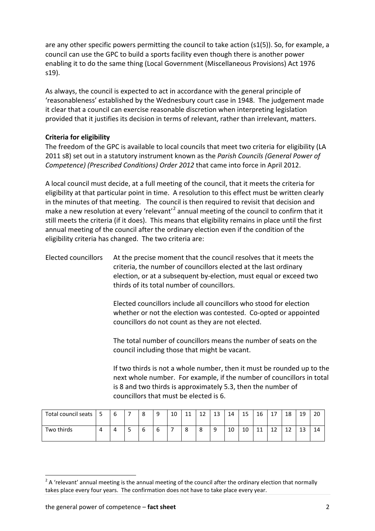are any other specific powers permitting the council to take action (s1(5)). So, for example, a council can use the GPC to build a sports facility even though there is another power enabling it to do the same thing (Local Government (Miscellaneous Provisions) Act 1976 s19).

As always, the council is expected to act in accordance with the general principle of 'reasonableness' established by the Wednesbury court case in 1948. The judgement made it clear that a council can exercise reasonable discretion when interpreting legislation provided that it justifies its decision in terms of relevant, rather than irrelevant, matters.

### **Criteria for eligibility**

The freedom of the GPC is available to local councils that meet two criteria for eligibility (LA 2011 s8) set out in a statutory instrument known as the *Parish Councils (General Power of Competence) (Prescribed Conditions) Order 2012* that came into force in April 2012.

A local council must decide, at a full meeting of the council, that it meets the criteria for eligibility at that particular point in time. A resolution to this effect must be written clearly in the minutes of that meeting. The council is then required to revisit that decision and make a new resolution at every 'relevant'<sup>[2](#page-1-0)</sup> annual meeting of the council to confirm that it still meets the criteria (if it does). This means that eligibility remains in place until the first annual meeting of the council after the ordinary election even if the condition of the eligibility criteria has changed. The two criteria are:

Elected councillors At the precise moment that the council resolves that it meets the criteria, the number of councillors elected at the last ordinary election, or at a subsequent by‐election, must equal or exceed two thirds of its total number of councillors.

> Elected councillors include all councillors who stood for election whether or not the election was contested. Co-opted or appointed councillors do not count as they are not elected.

The total number of councillors means the number of seats on the council including those that might be vacant.

If two thirds is not a whole number, then it must be rounded up to the next whole number. For example, if the number of councillors in total is 8 and two thirds is approximately 5.3, then the number of councillors that must be elected is 6.

| Total council seats |  | 8 | 9 | 10 | 11<br>ᆠᆠ | 1つ<br>ᅩ | 13     | 14 | 15 | 16       | $\rightarrow$              | 18       | 19       | 20 |
|---------------------|--|---|---|----|----------|---------|--------|----|----|----------|----------------------------|----------|----------|----|
| Two thirds          |  | h | b | -  | 8        | 8       | a<br>۰ | 10 | 10 | 11<br>ᆠᆠ | $\ddot{\phantom{0}}$<br>∸∸ | 1.<br>∸∸ | 12<br>ᅩᇰ | 14 |

<span id="page-1-0"></span> $2$  A 'relevant' annual meeting is the annual meeting of the council after the ordinary election that normally takes place every four years. The confirmation does not have to take place every year.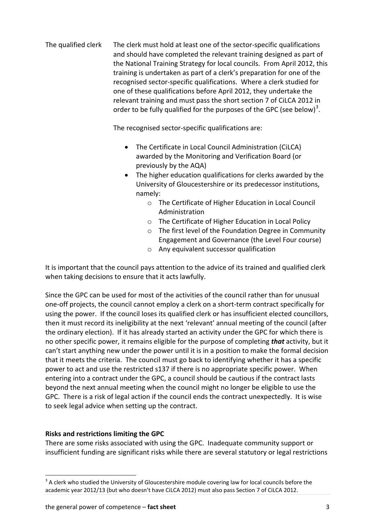The qualified clerk The clerk must hold at least one of the sector-specific qualifications and should have completed the relevant training designed as part of the National Training Strategy for local councils. From April 2012, this training is undertaken as part of a clerk's preparation for one of the recognised sector‐specific qualifications. Where a clerk studied for one of these qualifications before April 2012, they undertake the relevant training and must pass the short section 7 of CiLCA 2012 in order to be fully qualified for the purposes of the GPC (see below)<sup>[3](#page-2-0)</sup>.

The recognised sector‐specific qualifications are:

- The Certificate in Local Council Administration (CiLCA) awarded by the Monitoring and Verification Board (or previously by the AQA)
- The higher education qualifications for clerks awarded by the University of Gloucestershire or its predecessor institutions, namely:
	- o The Certificate of Higher Education in Local Council Administration
	- o The Certificate of Higher Education in Local Policy
	- o The first level of the Foundation Degree in Community Engagement and Governance (the Level Four course)
	- o Any equivalent successor qualification

It is important that the council pays attention to the advice of its trained and qualified clerk when taking decisions to ensure that it acts lawfully.

Since the GPC can be used for most of the activities of the council rather than for unusual one‐off projects, the council cannot employ a clerk on a short‐term contract specifically for using the power. If the council loses its qualified clerk or has insufficient elected councillors, then it must record its ineligibility at the next 'relevant' annual meeting of the council (after the ordinary election). If it has already started an activity under the GPC for which there is no other specific power, it remains eligible for the purpose of completing *that* activity, but it can't start anything new under the power until it is in a position to make the formal decision that it meets the criteria. The council must go back to identifying whether it has a specific power to act and use the restricted s137 if there is no appropriate specific power. When entering into a contract under the GPC, a council should be cautious if the contract lasts beyond the next annual meeting when the council might no longer be eligible to use the GPC. There is a risk of legal action if the council ends the contract unexpectedly. It is wise to seek legal advice when setting up the contract.

## **Risks and restrictions limiting the GPC**

There are some risks associated with using the GPC. Inadequate community support or insufficient funding are significant risks while there are several statutory or legal restrictions

<span id="page-2-0"></span><sup>&</sup>lt;sup>3</sup> A clerk who studied the University of Gloucestershire module covering law for local councils before the academic year 2012/13 (but who doesn't have CiLCA 2012) must also pass Section 7 of CiLCA 2012.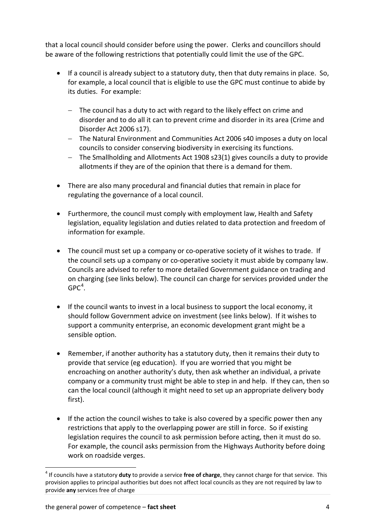that a local council should consider before using the power. Clerks and councillors should be aware of the following restrictions that potentially could limit the use of the GPC.

- If a council is already subject to a statutory duty, then that duty remains in place. So, for example, a local council that is eligible to use the GPC must continue to abide by its duties. For example:
	- − The council has a duty to act with regard to the likely effect on crime and disorder and to do all it can to prevent crime and disorder in its area (Crime and Disorder Act 2006 s17).
	- − The Natural Environment and Communities Act 2006 s40 imposes a duty on local councils to consider conserving biodiversity in exercising its functions.
	- − The Smallholding and Allotments Act 1908 s23(1) gives councils a duty to provide allotments if they are of the opinion that there is a demand for them.
- There are also many procedural and financial duties that remain in place for regulating the governance of a local council.
- Furthermore, the council must comply with employment law, Health and Safety legislation, equality legislation and duties related to data protection and freedom of information for example.
- The council must set up a company or co-operative society of it wishes to trade. If the council sets up a company or co-operative society it must abide by company law. Councils are advised to refer to more detailed Government guidance on trading and on charging (see links below). The council can charge for services provided under the  ${\sf GPC}^4.$  ${\sf GPC}^4.$  ${\sf GPC}^4.$
- If the council wants to invest in a local business to support the local economy, it should follow Government advice on investment (see links below). If it wishes to support a community enterprise, an economic development grant might be a sensible option.
- Remember, if another authority has a statutory duty, then it remains their duty to provide that service (eg education). If you are worried that you might be encroaching on another authority's duty, then ask whether an individual, a private company or a community trust might be able to step in and help. If they can, then so can the local council (although it might need to set up an appropriate delivery body first).
- If the action the council wishes to take is also covered by a specific power then any restrictions that apply to the overlapping power are still in force. So if existing legislation requires the council to ask permission before acting, then it must do so. For example, the council asks permission from the Highways Authority before doing work on roadside verges.

<span id="page-3-0"></span><sup>4</sup> If councils have a statutory **duty** to provide a service **free of charge**, they cannot charge for that service. This provision applies to principal authorities but does not affect local councils as they are not required by law to provide **any** services free of charge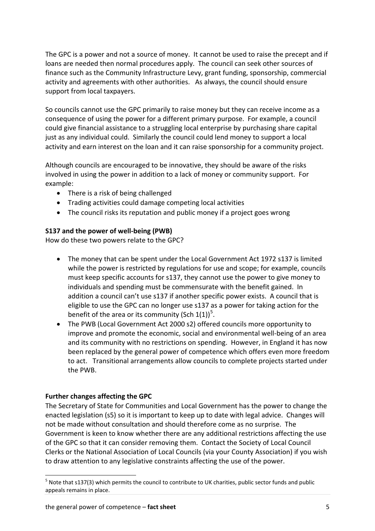The GPC is a power and not a source of money. It cannot be used to raise the precept and if loans are needed then normal procedures apply. The council can seek other sources of finance such as the Community Infrastructure Levy, grant funding, sponsorship, commercial activity and agreements with other authorities. As always, the council should ensure support from local taxpayers.

So councils cannot use the GPC primarily to raise money but they can receive income as a consequence of using the power for a different primary purpose. For example, a council could give financial assistance to a struggling local enterprise by purchasing share capital just as any individual could. Similarly the council could lend money to support a local activity and earn interest on the loan and it can raise sponsorship for a community project.

Although councils are encouraged to be innovative, they should be aware of the risks involved in using the power in addition to a lack of money or community support. For example:

- There is a risk of being challenged
- Trading activities could damage competing local activities
- The council risks its reputation and public money if a project goes wrong

## **S137 and the power of well‐being (PWB)**

How do these two powers relate to the GPC?

- The money that can be spent under the Local Government Act 1972 s137 is limited while the power is restricted by regulations for use and scope; for example, councils must keep specific accounts for s137, they cannot use the power to give money to individuals and spending must be commensurate with the benefit gained. In addition a council can't use s137 if another specific power exists. A council that is eligible to use the GPC can no longer use s137 as a power for taking action for the benefit of the area or its community (Sch 1(1))<sup>[5](#page-4-0)</sup>.
- The PWB (Local Government Act 2000 s2) offered councils more opportunity to improve and promote the economic, social and environmental well‐being of an area and its community with no restrictions on spending. However, in England it has now been replaced by the general power of competence which offers even more freedom to act. Transitional arrangements allow councils to complete projects started under the PWB.

### **Further changes affecting the GPC**

The Secretary of State for Communities and Local Government has the power to change the enacted legislation (s5) so it is important to keep up to date with legal advice. Changes will not be made without consultation and should therefore come as no surprise. The Government is keen to know whether there are any additional restrictions affecting the use of the GPC so that it can consider removing them. Contact the Society of Local Council Clerks or the National Association of Local Councils (via your County Association) if you wish to draw attention to any legislative constraints affecting the use of the power.

<span id="page-4-0"></span><sup>&</sup>lt;sup>5</sup> Note that s137(3) which permits the council to contribute to UK charities, public sector funds and public appeals remains in place.